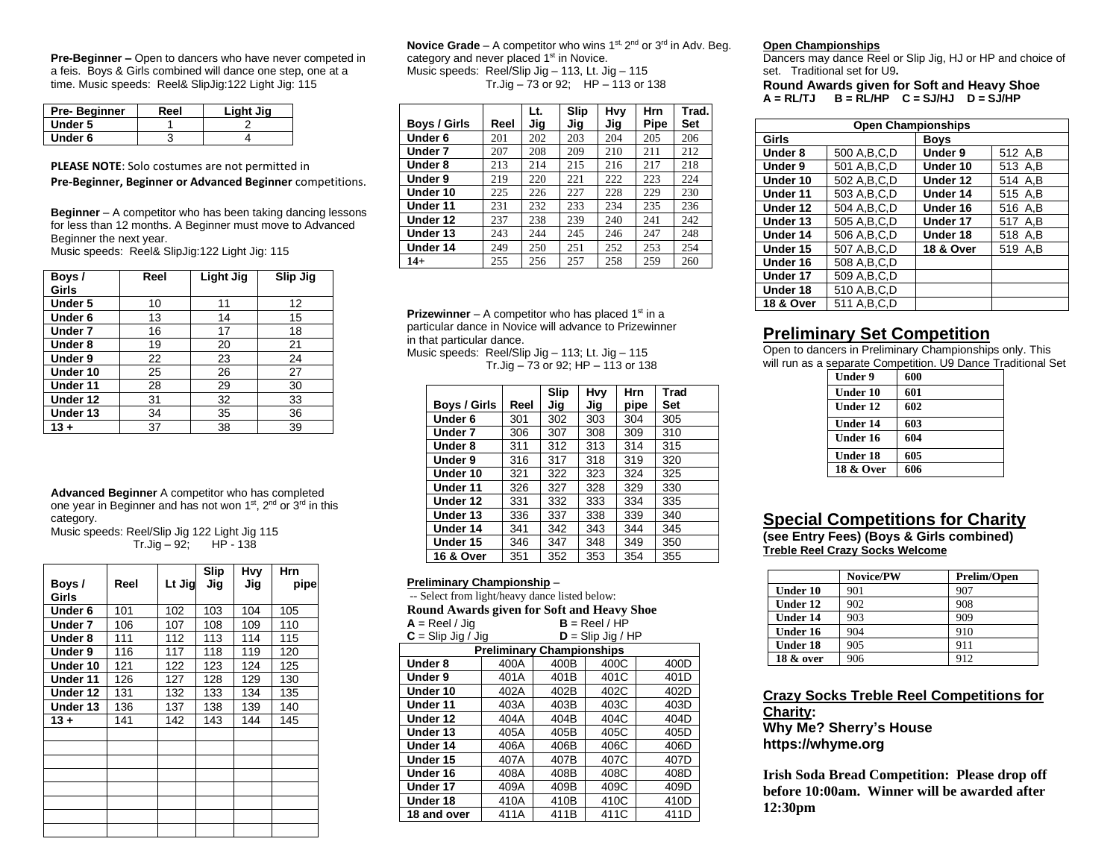**Pre-Beginner –** Open to dancers who have never competed in a feis. Boys & Girls combined will dance one step, one at a time. Music speeds: Reel& SlipJig:122 Light Jig: 115

| Pre-Beginner | Reel | Light Jig |
|--------------|------|-----------|
| Under 5      |      |           |
| Under 6      |      |           |

**PLEASE NOTE**: Solo costumes are not permitted in **Pre-Beginner, Beginner or Advanced Beginner** competitions.

**Beginner** – A competitor who has been taking dancing lessons for less than 12 months. A Beginner must move to Advanced Beginner the next year.

Music speeds: Reel& SlipJig:122 Light Jig: 115

| Boys/    | Reel | Light Jig | Slip Jig |
|----------|------|-----------|----------|
| Girls    |      |           |          |
| Under 5  | 10   | 11        | 12       |
| Under 6  | 13   | 14        | 15       |
| Under 7  | 16   | 17        | 18       |
| Under 8  | 19   | 20        | 21       |
| Under 9  | 22   | 23        | 24       |
| Under 10 | 25   | 26        | 27       |
| Under 11 | 28   | 29        | 30       |
| Under 12 | 31   | 32        | 33       |
| Under 13 | 34   | 35        | 36       |
| $13 +$   | 37   | 38        | 39       |

**Advanced Beginner** A competitor who has completed one year in Beginner and has not won 1<sup>st</sup>, 2<sup>nd</sup> or 3<sup>rd</sup> in this category.

Music speeds: Reel/Slip Jig 122 Light Jig 115  $Tr.Jig - 92;$  HP - 138

|                | Reel | Lt Jig | Slip<br>Jig | Hvy | Hrn  |
|----------------|------|--------|-------------|-----|------|
| Boys/<br>Girls |      |        |             | Jig | pipe |
| Under 6        | 101  | 102    | 103         | 104 | 105  |
| Under 7        | 106  | 107    | 108         | 109 | 110  |
| Under 8        | 111  | 112    | 113         | 114 | 115  |
| Under 9        | 116  | 117    | 118         | 119 | 120  |
| Under 10       | 121  | 122    | 123         | 124 | 125  |
| Under 11       | 126  | 127    | 128         | 129 | 130  |
| Under 12       | 131  | 132    | 133         | 134 | 135  |
| Under 13       | 136  | 137    | 138         | 139 | 140  |
| $13 +$         | 141  | 142    | 143         | 144 | 145  |
|                |      |        |             |     |      |
|                |      |        |             |     |      |
|                |      |        |             |     |      |
|                |      |        |             |     |      |
|                |      |        |             |     |      |
|                |      |        |             |     |      |
|                |      |        |             |     |      |
|                |      |        |             |     |      |

**Novice Grade** – A competitor who wins 1<sup>st, 2nd</sup> or 3<sup>rd</sup> in Adv. Beg. category and never placed 1<sup>st</sup> in Novice. Music speeds: Reel/Slip Jig – 113, Lt. Jig – 115 Tr.Jig  $-73$  or 92; HP  $-113$  or 138

|                     |      | Lt. | Slip | Hvy | <b>Hrn</b> | Trad. |
|---------------------|------|-----|------|-----|------------|-------|
| <b>Boys / Girls</b> | Reel | Jig | Jiq  | Jig | Pipe       | Set   |
| Under 6             | 201  | 202 | 203  | 204 | 205        | 206   |
| Under 7             | 207  | 208 | 209  | 210 | 211        | 212   |
| Under 8             | 213  | 214 | 215  | 216 | 217        | 218   |
| Under 9             | 219  | 220 | 221  | 222 | 223        | 224   |
| Under 10            | 225  | 226 | 227  | 228 | 229        | 230   |
| Under 11            | 231  | 232 | 233  | 234 | 235        | 236   |
| Under 12            | 237  | 238 | 239  | 240 | 241        | 242   |
| Under 13            | 243  | 244 | 245  | 246 | 247        | 248   |
| Under 14            | 249  | 250 | 251  | 252 | 253        | 254   |
| $14+$               | 255  | 256 | 257  | 258 | 259        | 260   |

**Prizewinner** – A competitor who has placed  $1<sup>st</sup>$  in a particular dance in Novice will advance to Prizewinner in that particular dance.

Music speeds: Reel/Slip Jig – 113; Lt. Jig – 115 Tr.Jig – 73 or 92; HP – 113 or 138

|                      |      | <b>Slip</b> | Hvy | <b>Hrn</b> | Trad |
|----------------------|------|-------------|-----|------------|------|
| <b>Boys / Girls</b>  | Reel | Jig         | Jiq | pipe       | Set  |
| Under 6              | 301  | 302         | 303 | 304        | 305  |
| Under 7              | 306  | 307         | 308 | 309        | 310  |
| Under 8              | 311  | 312         | 313 | 314        | 315  |
| Under 9              | 316  | 317         | 318 | 319        | 320  |
| Under 10             | 321  | 322         | 323 | 324        | 325  |
| Under 11             | 326  | 327         | 328 | 329        | 330  |
| Under 12             | 331  | 332         | 333 | 334        | 335  |
| Under 13             | 336  | 337         | 338 | 339        | 340  |
| Under 14             | 341  | 342         | 343 | 344        | 345  |
| Under 15             | 346  | 347         | 348 | 349        | 350  |
| <b>16 &amp; Over</b> | 351  | 352         | 353 | 354        | 355  |

#### **Preliminary Championship** –

-- Select from light/heavy dance listed below:

| Round Awards given for Soft and Heavy Shoe |                 |                                  |                     |      |
|--------------------------------------------|-----------------|----------------------------------|---------------------|------|
| $A =$ Reel / Jig                           | $B =$ Reel / HP |                                  |                     |      |
| $C =$ Slip Jig / Jig                       |                 |                                  | $D =$ Slip Jig / HP |      |
|                                            |                 | <b>Preliminary Championships</b> |                     |      |
| Under 8                                    | 400A            | 400B                             | 400C                | 400D |
| Under 9                                    | 401A            | 401B                             | 401C                | 401D |
| Under 10                                   | 402A            | 402B                             | 402C                | 402D |
| Under 11                                   | 403A            | 403B                             | 403C                | 403D |
| Under 12                                   | 404A            | 404B                             | 404C                | 404D |
| Under 13                                   | 405A            | 405B                             | 405C                | 405D |
| Under 14                                   | 406A            | 406B                             | 406C                | 406D |
| Under 15                                   | 407A            | 407B                             | 407C                | 407D |
| Under 16                                   | 408A            | 408B                             | 408C                | 408D |
| Under 17                                   | 409A            | 409B                             | 409C                | 409D |
| Under 18                                   | 410A            | 410B                             | 410C                | 410D |
| 18 and over                                | 411A            | 411B                             | 411C                | 411D |

### **Open Championships**

Dancers may dance Reel or Slip Jig, HJ or HP and choice of set. Traditional set for U9**.** 

**Round Awards given for Soft and Heavy Shoe**   $A = RLTJ$   $B = RL/HP$   $C = SJ/HJ$   $D = SJ/HP$ 

| <b>Open Championships</b> |                |                      |         |  |
|---------------------------|----------------|----------------------|---------|--|
| Girls                     |                | <b>Boys</b>          |         |  |
| Under 8                   | 500 A.B.C.D    | Under 9              | 512 A,B |  |
| Under 9                   | 501 A, B, C, D | Under 10             | 513 A,B |  |
| Under 10                  | 502 A.B.C.D    | Under 12             | 514 A.B |  |
| Under 11                  | 503 A.B.C.D    | Under 14             | 515 A.B |  |
| Under 12                  | 504 A.B.C.D    | Under 16             | 516 A,B |  |
| Under 13                  | 505 A.B.C.D    | Under 17             | 517 A.B |  |
| Under 14                  | 506 A.B.C.D    | Under 18             | 518 A,B |  |
| Under 15                  | 507 A.B.C.D    | <b>18 &amp; Over</b> | 519 A.B |  |
| Under 16                  | 508 A.B.C.D    |                      |         |  |
| Under 17                  | 509 A.B.C.D    |                      |         |  |
| Under 18                  | 510 A, B, C, D |                      |         |  |
| <b>18 &amp; Over</b>      | 511 A, B, C, D |                      |         |  |

## **Preliminary Set Competition**

Open to dancers in Preliminary Championships only. This will run as a separate Competition. U9 Dance Traditional Set

| <b>Under 9</b>       | 600 |
|----------------------|-----|
| Under 10             | 601 |
| Under 12             | 602 |
| Under 14             | 603 |
| <b>Under 16</b>      | 604 |
| <b>Under 18</b>      | 605 |
| <b>18 &amp; Over</b> | 606 |

## **Special Competitions for Charity**

**(see Entry Fees) (Boys & Girls combined) Treble Reel Crazy Socks Welcome**

|                 | <b>Novice/PW</b> | <b>Prelim/Open</b> |
|-----------------|------------------|--------------------|
| <b>Under 10</b> | 901              | 907                |
| Under 12        | 902              | 908                |
| Under 14        | 903              | 909                |
| Under 16        | 904              | 910                |
| <b>Under 18</b> | 905              | 911                |
| 18 & over       | 906              | 912                |

## **Crazy Socks Treble Reel Competitions for Charity:**

**Why Me? Sherry's House https://whyme.org**

**Irish Soda Bread Competition: Please drop off before 10:00am. Winner will be awarded after 12:30pm**